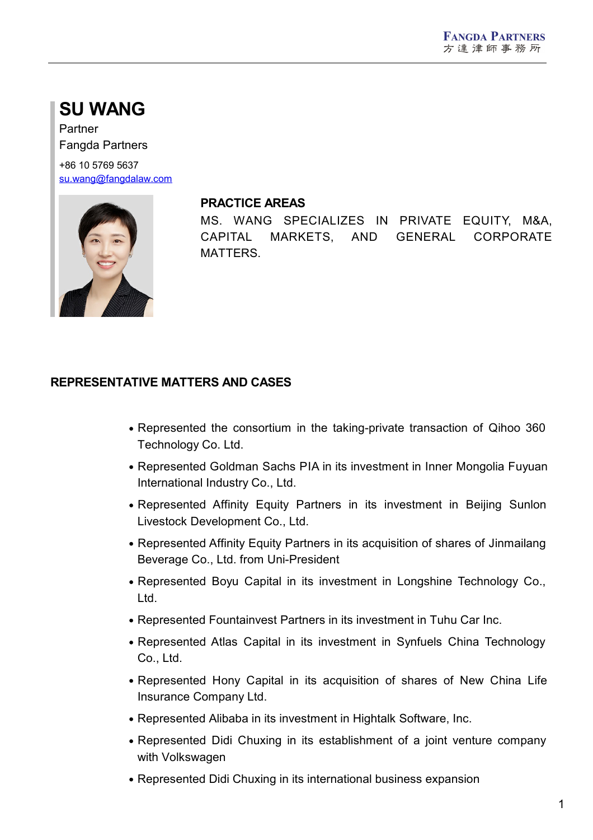# **SU WANG**

Partner Fangda Partners

+86 10 5769 5637 [su.wang@fangdalaw.com](mailto:su.wang@fangdalaw.com)



#### **PRACTICE AREAS**

MS. WANG SPECIALIZES IN PRIVATE EQUITY, M&A, CAPITAL MARKETS, AND GENERAL CORPORATE MATTERS.

# **REPRESENTATIVE MATTERS AND CASES**

- Represented the consortium in the taking-private transaction of Qihoo 360 Technology Co. Ltd.
- Represented Goldman Sachs PIA in its investment in Inner Mongolia Fuyuan International Industry Co., Ltd.
- Represented Affinity Equity Partners in its investment in Beijing Sunlon Livestock Development Co., Ltd.
- Represented Affinity Equity Partners in its acquisition of shares of Jinmailang Beverage Co., Ltd. from Uni-President
- Represented Boyu Capital in its investment in Longshine Technology Co., Ltd.
- Represented Fountainvest Partners in its investment in Tuhu Car Inc.
- Represented Atlas Capital in its investment in Synfuels China Technology Co., Ltd.
- Represented Hony Capital in its acquisition of shares of New China Life Insurance Company Ltd.
- Represented Alibaba in its investment in Hightalk Software, Inc.
- Represented Didi Chuxing in its establishment of a joint venture company with Volkswagen
- Represented Didi Chuxing in its international business expansion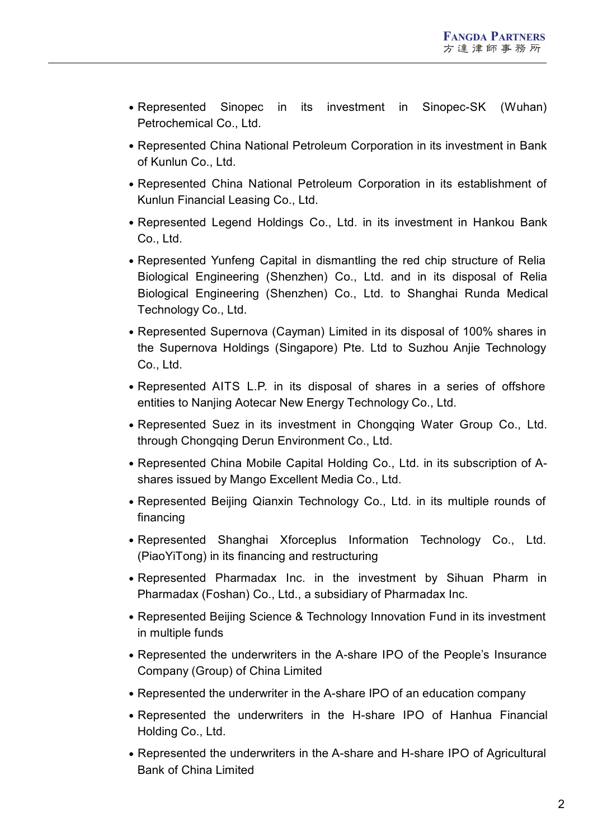- Represented Sinopec in its investment in Sinopec-SK (Wuhan) Petrochemical Co., Ltd.
- Represented China National Petroleum Corporation in its investment in Bank of Kunlun Co., Ltd.
- Represented China National Petroleum Corporation in its establishment of Kunlun Financial Leasing Co., Ltd.
- Represented Legend Holdings Co., Ltd. in its investment in Hankou Bank Co., Ltd.
- Represented Yunfeng Capital in dismantling the red chip structure of Relia Biological Engineering (Shenzhen) Co., Ltd. and in its disposal of Relia Biological Engineering (Shenzhen) Co., Ltd. to Shanghai Runda Medical Technology Co., Ltd.
- Represented Supernova (Cayman) Limited in its disposal of 100% shares in the Supernova Holdings (Singapore) Pte. Ltd to Suzhou Anjie Technology Co., Ltd.
- Represented AITS L.P. in its disposal of shares in a series of offshore entities to Nanjing Aotecar New Energy Technology Co., Ltd.
- Represented Suez in its investment in Chongqing Water Group Co., Ltd. through Chongqing Derun Environment Co., Ltd.
- Represented China Mobile Capital Holding Co., Ltd. in its subscription of A shares issued by Mango Excellent Media Co., Ltd.
- Represented Beijing Qianxin Technology Co., Ltd. in its multiple rounds of financing
- Represented Shanghai Xforceplus Information Technology Co., Ltd. (PiaoYiTong) in its financing and restructuring
- Represented Pharmadax Inc. in the investment by Sihuan Pharm in Pharmadax (Foshan) Co., Ltd., a subsidiary of Pharmadax Inc.
- Represented Beijing Science & Technology Innovation Fund in its investment in multiple funds
- Represented the underwriters in the A-share IPO of the People's Insurance Company (Group) of China Limited
- Represented the underwriter in the A-share IPO of an education company
- Represented the underwriters in the H-share IPO of Hanhua Financial Holding Co., Ltd.
- Represented the underwriters in the A-share and H-share IPO of Agricultural Bank of China Limited